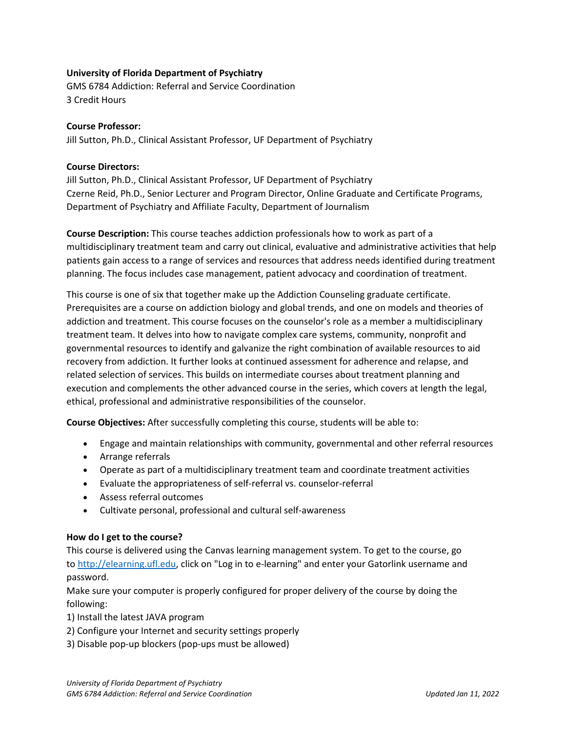## **University of Florida Department of Psychiatry**

GMS 6784 Addiction: Referral and Service Coordination 3 Credit Hours

## **Course Professor:**

Jill Sutton, Ph.D., Clinical Assistant Professor, UF Department of Psychiatry

## **Course Directors:**

Jill Sutton, Ph.D., Clinical Assistant Professor, UF Department of Psychiatry Czerne Reid, Ph.D., Senior Lecturer and Program Director, Online Graduate and Certificate Programs, Department of Psychiatry and Affiliate Faculty, Department of Journalism

**Course Description:** This course teaches addiction professionals how to work as part of a multidisciplinary treatment team and carry out clinical, evaluative and administrative activities that help patients gain access to a range of services and resources that address needs identified during treatment planning. The focus includes case management, patient advocacy and coordination of treatment.

This course is one of six that together make up the Addiction Counseling graduate certificate. Prerequisites are a course on addiction biology and global trends, and one on models and theories of addiction and treatment. This course focuses on the counselor's role as a member a multidisciplinary treatment team. It delves into how to navigate complex care systems, community, nonprofit and governmental resources to identify and galvanize the right combination of available resources to aid recovery from addiction. It further looks at continued assessment for adherence and relapse, and related selection of services. This builds on intermediate courses about treatment planning and execution and complements the other advanced course in the series, which covers at length the legal, ethical, professional and administrative responsibilities of the counselor.

**Course Objectives:** After successfully completing this course, students will be able to:

- Engage and maintain relationships with community, governmental and other referral resources
- Arrange referrals
- Operate as part of a multidisciplinary treatment team and coordinate treatment activities
- Evaluate the appropriateness of self-referral vs. counselor-referral
- Assess referral outcomes
- Cultivate personal, professional and cultural self-awareness

#### **How do I get to the course?**

This course is delivered using the Canvas learning management system. To get to the course, go to [http://elearning.ufl.edu,](http://elearning.ufl.edu/) click on "Log in to e-learning" and enter your Gatorlink username and password.

Make sure your computer is properly configured for proper delivery of the course by doing the following:

- 1) Install the latest JAVA program
- 2) Configure your Internet and security settings properly
- 3) Disable pop-up blockers (pop-ups must be allowed)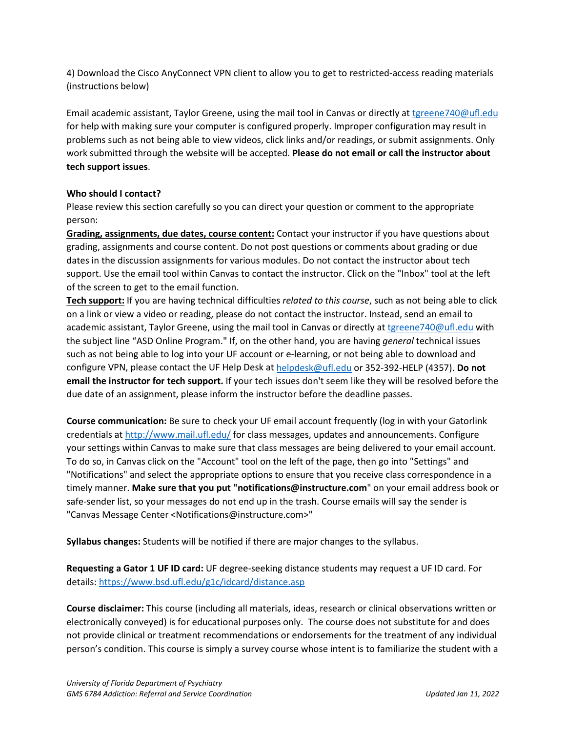4) Download the Cisco AnyConnect VPN client to allow you to get to restricted-access reading materials (instructions below)

Email academic assistant, Taylor Greene, using the mail tool in Canvas or directly at [tgreene740@ufl.edu](mailto:tgreene740@ufl.edu) for help with making sure your computer is configured properly. Improper configuration may result in problems such as not being able to view videos, click links and/or readings, or submit assignments. Only work submitted through the website will be accepted. **Please do not email or call the instructor about tech support issues**.

## **Who should I contact?**

Please review this section carefully so you can direct your question or comment to the appropriate person:

**Grading, assignments, due dates, course content:** Contact your instructor if you have questions about grading, assignments and course content. Do not post questions or comments about grading or due dates in the discussion assignments for various modules. Do not contact the instructor about tech support. Use the email tool within Canvas to contact the instructor. Click on the "Inbox" tool at the left of the screen to get to the email function.

**Tech support:** If you are having technical difficulties *related to this course*, such as not being able to click on a link or view a video or reading, please do not contact the instructor. Instead, send an email to academic assistant, Taylor Greene, using the mail tool in Canvas or directly at [tgreene740@ufl.edu](mailto:tgreene740@ufl.edu) with the subject line "ASD Online Program." If, on the other hand, you are having *general* technical issues such as not being able to log into your UF account or e-learning, or not being able to download and configure VPN, please contact the UF Help Desk at [helpdesk@ufl.edu](mailto:helpdesk@ufl.edu) or 352-392-HELP (4357). **Do not email the instructor for tech support.** If your tech issues don't seem like they will be resolved before the due date of an assignment, please inform the instructor before the deadline passes.

**Course communication:** Be sure to check your UF email account frequently (log in with your Gatorlink credentials at [http://www.mail.ufl.edu/](http://www.mail.ufl.edu/)) for class messages, updates and announcements. Configure your settings within Canvas to make sure that class messages are being delivered to your email account. To do so, in Canvas click on the "Account" tool on the left of the page, then go into "Settings" and "Notifications" and select the appropriate options to ensure that you receive class correspondence in a timely manner. **Make sure that you put "notifications@instructure.com**" on your email address book or safe-sender list, so your messages do not end up in the trash. Course emails will say the sender is "Canvas Message Center <Notifications@instructure.com>"

**Syllabus changes:** Students will be notified if there are major changes to the syllabus.

**Requesting a Gator 1 UF ID card:** UF degree-seeking distance students may request a UF ID card. For details:<https://www.bsd.ufl.edu/g1c/idcard/distance.asp>

**Course disclaimer:** This course (including all materials, ideas, research or clinical observations written or electronically conveyed) is for educational purposes only. The course does not substitute for and does not provide clinical or treatment recommendations or endorsements for the treatment of any individual person's condition. This course is simply a survey course whose intent is to familiarize the student with a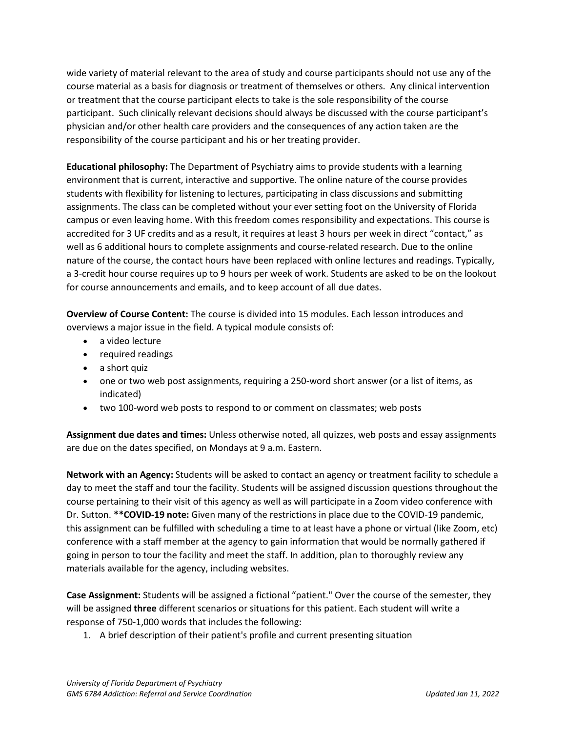wide variety of material relevant to the area of study and course participants should not use any of the course material as a basis for diagnosis or treatment of themselves or others. Any clinical intervention or treatment that the course participant elects to take is the sole responsibility of the course participant. Such clinically relevant decisions should always be discussed with the course participant's physician and/or other health care providers and the consequences of any action taken are the responsibility of the course participant and his or her treating provider.

**Educational philosophy:** The Department of Psychiatry aims to provide students with a learning environment that is current, interactive and supportive. The online nature of the course provides students with flexibility for listening to lectures, participating in class discussions and submitting assignments. The class can be completed without your ever setting foot on the University of Florida campus or even leaving home. With this freedom comes responsibility and expectations. This course is accredited for 3 UF credits and as a result, it requires at least 3 hours per week in direct "contact," as well as 6 additional hours to complete assignments and course-related research. Due to the online nature of the course, the contact hours have been replaced with online lectures and readings. Typically, a 3-credit hour course requires up to 9 hours per week of work. Students are asked to be on the lookout for course announcements and emails, and to keep account of all due dates.

**Overview of Course Content:** The course is divided into 15 modules. Each lesson introduces and overviews a major issue in the field. A typical module consists of:

- a video lecture
- required readings
- a short quiz
- one or two web post assignments, requiring a 250-word short answer (or a list of items, as indicated)
- two 100-word web posts to respond to or comment on classmates; web posts

**Assignment due dates and times:** Unless otherwise noted, all quizzes, web posts and essay assignments are due on the dates specified, on Mondays at 9 a.m. Eastern.

**Network with an Agency:** Students will be asked to contact an agency or treatment facility to schedule a day to meet the staff and tour the facility. Students will be assigned discussion questions throughout the course pertaining to their visit of this agency as well as will participate in a Zoom video conference with Dr. Sutton. **\*\*COVID-19 note:** Given many of the restrictions in place due to the COVID-19 pandemic, this assignment can be fulfilled with scheduling a time to at least have a phone or virtual (like Zoom, etc) conference with a staff member at the agency to gain information that would be normally gathered if going in person to tour the facility and meet the staff. In addition, plan to thoroughly review any materials available for the agency, including websites.

**Case Assignment:** Students will be assigned a fictional "patient." Over the course of the semester, they will be assigned **three** different scenarios or situations for this patient. Each student will write a response of 750-1,000 words that includes the following:

1. A brief description of their patient's profile and current presenting situation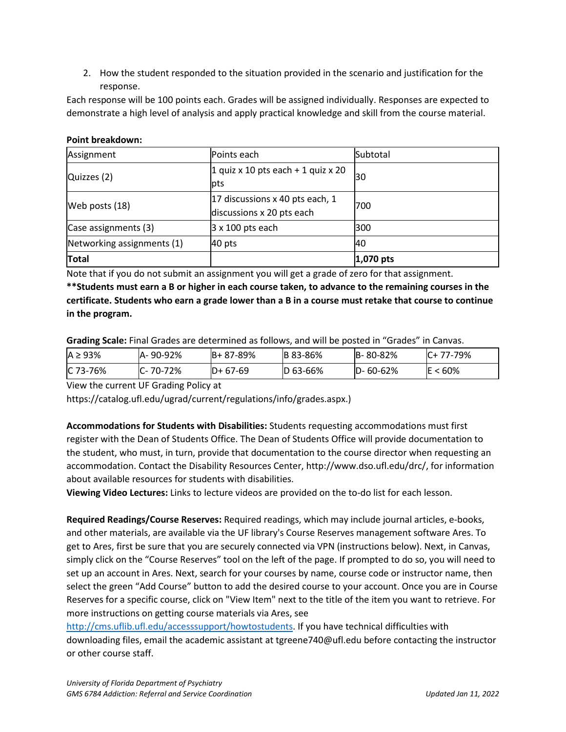2. How the student responded to the situation provided in the scenario and justification for the response.

Each response will be 100 points each. Grades will be assigned individually. Responses are expected to demonstrate a high level of analysis and apply practical knowledge and skill from the course material.

#### **Point breakdown:**

| Assignment                 | Points each                                                  | Subtotal  |  |
|----------------------------|--------------------------------------------------------------|-----------|--|
| Quizzes (2)                | 1 quiz x 10 pts each + 1 quiz x 20<br><b>lpts</b>            | 30        |  |
| Web posts (18)             | 17 discussions x 40 pts each, 1<br>discussions x 20 pts each | 700       |  |
| Case assignments (3)       | $3 \times 100$ pts each                                      | 300       |  |
| Networking assignments (1) | 40 pts                                                       | 40        |  |
| <b>Total</b>               |                                                              | 1,070 pts |  |

Note that if you do not submit an assignment you will get a grade of zero for that assignment.

**\*\*Students must earn a B or higher in each course taken, to advance to the remaining courses in the certificate. Students who earn a grade lower than a B in a course must retake that course to continue in the program.**

**Grading Scale:** Final Grades are determined as follows, and will be posted in "Grades" in Canvas.

| $A \geq 93\%$ | A-90-92% | $B + 87 - 89%$ | <b>B</b> 83-86% | B-80-82%       | $IC+ 77-79\%$ |
|---------------|----------|----------------|-----------------|----------------|---------------|
| IC 73-76%     | 70-72%   | $D+67-69$      | $D$ 63-66%      | $D - 60 - 62%$ | $<60\%$       |

View the current UF Grading Policy at

https://catalog.ufl.edu/ugrad/current/regulations/info/grades.aspx.)

**Accommodations for Students with Disabilities:** Students requesting accommodations must first register with the Dean of Students Office. The Dean of Students Office will provide documentation to the student, who must, in turn, provide that documentation to the course director when requesting an accommodation. Contact the Disability Resources Center, http://www.dso.ufl.edu/drc/, for information about available resources for students with disabilities.

**Viewing Video Lectures:** Links to lecture videos are provided on the to-do list for each lesson.

**Required Readings/Course Reserves:** Required readings, which may include journal articles, e-books, and other materials, are available via the UF library's Course Reserves management software Ares. To get to Ares, first be sure that you are securely connected via VPN (instructions below). Next, in Canvas, simply click on the "Course Reserves" tool on the left of the page. If prompted to do so, you will need to set up an account in Ares. Next, search for your courses by name, course code or instructor name, then select the green "Add Course" button to add the desired course to your account. Once you are in Course Reserves for a specific course, click on "View Item" next to the title of the item you want to retrieve. For more instructions on getting course materials via Ares, see

[http://cms.uflib.ufl.edu/accesssupport/howtostudents.](http://cms.uflib.ufl.edu/accesssupport/howtostudents) If you have technical difficulties with downloading files, email the academic assistant at tgreene740@ufl.edu before contacting the instructor or other course staff.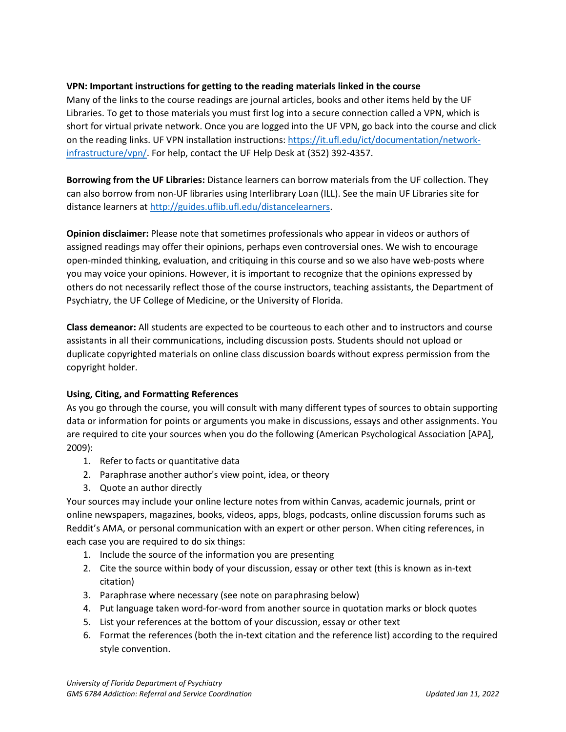## **VPN: Important instructions for getting to the reading materials linked in the course**

Many of the links to the course readings are journal articles, books and other items held by the UF Libraries. To get to those materials you must first log into a secure connection called a VPN, which is short for virtual private network. Once you are logged into the UF VPN, go back into the course and click on the reading links. UF VPN installation instructions[: https://it.ufl.edu/ict/documentation/network](https://it.ufl.edu/ict/documentation/network-infrastructure/vpn/)[infrastructure/vpn/.](https://it.ufl.edu/ict/documentation/network-infrastructure/vpn/) For help, contact the UF Help Desk at (352) 392-4357.

**Borrowing from the UF Libraries:** Distance learners can borrow materials from the UF collection. They can also borrow from non-UF libraries using Interlibrary Loan (ILL). See the main UF Libraries site for distance learners at [http://guides.uflib.ufl.edu/distancelearners.](http://guides.uflib.ufl.edu/distancelearners)

**Opinion disclaimer:** Please note that sometimes professionals who appear in videos or authors of assigned readings may offer their opinions, perhaps even controversial ones. We wish to encourage open-minded thinking, evaluation, and critiquing in this course and so we also have web-posts where you may voice your opinions. However, it is important to recognize that the opinions expressed by others do not necessarily reflect those of the course instructors, teaching assistants, the Department of Psychiatry, the UF College of Medicine, or the University of Florida.

**Class demeanor:** All students are expected to be courteous to each other and to instructors and course assistants in all their communications, including discussion posts. Students should not upload or duplicate copyrighted materials on online class discussion boards without express permission from the copyright holder.

# **Using, Citing, and Formatting References**

As you go through the course, you will consult with many different types of sources to obtain supporting data or information for points or arguments you make in discussions, essays and other assignments. You are required to cite your sources when you do the following (American Psychological Association [APA], 2009):

- 1. Refer to facts or quantitative data
- 2. Paraphrase another author's view point, idea, or theory
- 3. Quote an author directly

Your sources may include your online lecture notes from within Canvas, academic journals, print or online newspapers, magazines, books, videos, apps, blogs, podcasts, online discussion forums such as Reddit's AMA, or personal communication with an expert or other person. When citing references, in each case you are required to do six things:

- 1. Include the source of the information you are presenting
- 2. Cite the source within body of your discussion, essay or other text (this is known as in-text citation)
- 3. Paraphrase where necessary (see note on paraphrasing below)
- 4. Put language taken word-for-word from another source in quotation marks or block quotes
- 5. List your references at the bottom of your discussion, essay or other text
- 6. Format the references (both the in-text citation and the reference list) according to the required style convention.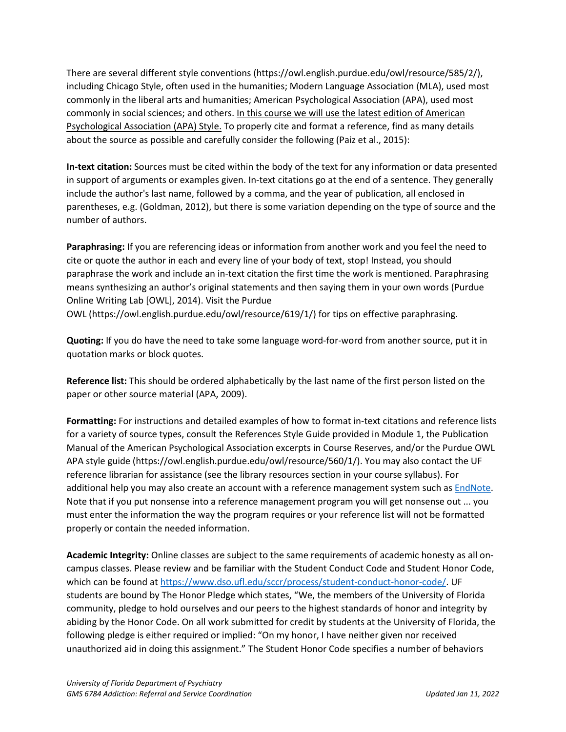There are several different style conventions (https://owl.english.purdue.edu/owl/resource/585/2/), including Chicago Style, often used in the humanities; Modern Language Association (MLA), used most commonly in the liberal arts and humanities; American Psychological Association (APA), used most commonly in social sciences; and others. In this course we will use the latest edition of American Psychological Association (APA) Style. To properly cite and format a reference, find as many details about the source as possible and carefully consider the following (Paiz et al., 2015):

**In-text citation:** Sources must be cited within the body of the text for any information or data presented in support of arguments or examples given. In-text citations go at the end of a sentence. They generally include the author's last name, followed by a comma, and the year of publication, all enclosed in parentheses, e.g. (Goldman, 2012), but there is some variation depending on the type of source and the number of authors.

**Paraphrasing:** If you are referencing ideas or information from another work and you feel the need to cite or quote the author in each and every line of your body of text, stop! Instead, you should paraphrase the work and include an in-text citation the first time the work is mentioned. Paraphrasing means synthesizing an author's original statements and then saying them in your own words (Purdue Online Writing Lab [OWL], 2014). Visit the Purdue OWL (https://owl.english.purdue.edu/owl/resource/619/1/) for tips on effective paraphrasing.

**Quoting:** If you do have the need to take some language word-for-word from another source, put it in quotation marks or block quotes.

**Reference list:** This should be ordered alphabetically by the last name of the first person listed on the paper or other source material (APA, 2009).

**Formatting:** For instructions and detailed examples of how to format in-text citations and reference lists for a variety of source types, consult the References Style Guide provided in Module 1, the Publication Manual of the American Psychological Association excerpts in Course Reserves, and/or the Purdue OWL APA style guide (https://owl.english.purdue.edu/owl/resource/560/1/). You may also contact the UF reference librarian for assistance (see the library resources section in your course syllabus). For additional help you may also create an account with a reference management system such as [EndNote.](https://guides.uflib.ufl.edu/endnote) Note that if you put nonsense into a reference management program you will get nonsense out ... you must enter the information the way the program requires or your reference list will not be formatted properly or contain the needed information.

**Academic Integrity:** Online classes are subject to the same requirements of academic honesty as all oncampus classes. Please review and be familiar with the Student Conduct Code and Student Honor Code, which can be found a[t https://www.dso.ufl.edu/sccr/process/student-conduct-honor-code/.](https://www.dso.ufl.edu/sccr/process/student-conduct-honor-code/) UF students are bound by The Honor Pledge which states, "We, the members of the University of Florida community, pledge to hold ourselves and our peers to the highest standards of honor and integrity by abiding by the Honor Code. On all work submitted for credit by students at the University of Florida, the following pledge is either required or implied: "On my honor, I have neither given nor received unauthorized aid in doing this assignment." The Student Honor Code specifies a number of behaviors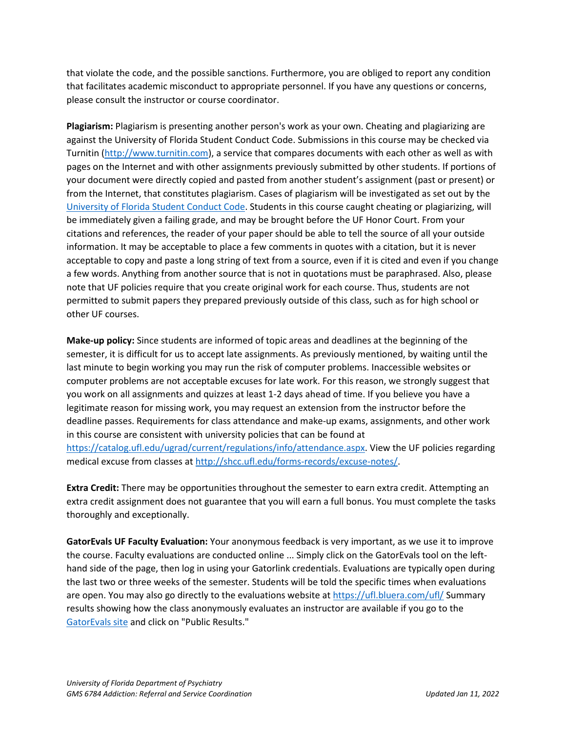that violate the code, and the possible sanctions. Furthermore, you are obliged to report any condition that facilitates academic misconduct to appropriate personnel. If you have any questions or concerns, please consult the instructor or course coordinator.

**Plagiarism:** Plagiarism is presenting another person's work as your own. Cheating and plagiarizing are against the University of Florida Student Conduct Code. Submissions in this course may be checked via Turnitin [\(http://www.turnitin.com\)](http://www.turnitin.com/), a service that compares documents with each other as well as with pages on the Internet and with other assignments previously submitted by other students. If portions of your document were directly copied and pasted from another student's assignment (past or present) or from the Internet, that constitutes plagiarism. Cases of plagiarism will be investigated as set out by the [University of Florida Student Conduct Code.](https://sccr.dso.ufl.edu/) Students in this course caught cheating or plagiarizing, will be immediately given a failing grade, and may be brought before the UF Honor Court. From your citations and references, the reader of your paper should be able to tell the source of all your outside information. It may be acceptable to place a few comments in quotes with a citation, but it is never acceptable to copy and paste a long string of text from a source, even if it is cited and even if you change a few words. Anything from another source that is not in quotations must be paraphrased. Also, please note that UF policies require that you create original work for each course. Thus, students are not permitted to submit papers they prepared previously outside of this class, such as for high school or other UF courses.

**Make-up policy:** Since students are informed of topic areas and deadlines at the beginning of the semester, it is difficult for us to accept late assignments. As previously mentioned, by waiting until the last minute to begin working you may run the risk of computer problems. Inaccessible websites or computer problems are not acceptable excuses for late work. For this reason, we strongly suggest that you work on all assignments and quizzes at least 1-2 days ahead of time. If you believe you have a legitimate reason for missing work, you may request an extension from the instructor before the deadline passes. Requirements for class attendance and make-up exams, assignments, and other work in this course are consistent with university policies that can be found at [https://catalog.ufl.edu/ugrad/current/regulations/info/attendance.aspx.](https://catalog.ufl.edu/ugrad/current/regulations/info/attendance.aspx) View the UF policies regarding medical excuse from classes at [http://shcc.ufl.edu/forms-records/excuse-notes/.](http://shcc.ufl.edu/forms-records/excuse-notes/)

**Extra Credit:** There may be opportunities throughout the semester to earn extra credit. Attempting an extra credit assignment does not guarantee that you will earn a full bonus. You must complete the tasks thoroughly and exceptionally.

**GatorEvals UF Faculty Evaluation:** Your anonymous feedback is very important, as we use it to improve the course. Faculty evaluations are conducted online ... Simply click on the GatorEvals tool on the lefthand side of the page, then log in using your Gatorlink credentials. Evaluations are typically open during the last two or three weeks of the semester. Students will be told the specific times when evaluations are open. You may also go directly to the evaluations website at<https://ufl.bluera.com/ufl/> Summary results showing how the class anonymously evaluates an instructor are available if you go to the [GatorEvals site](https://gatorevals.aa.ufl.edu/) and click on "Public Results."